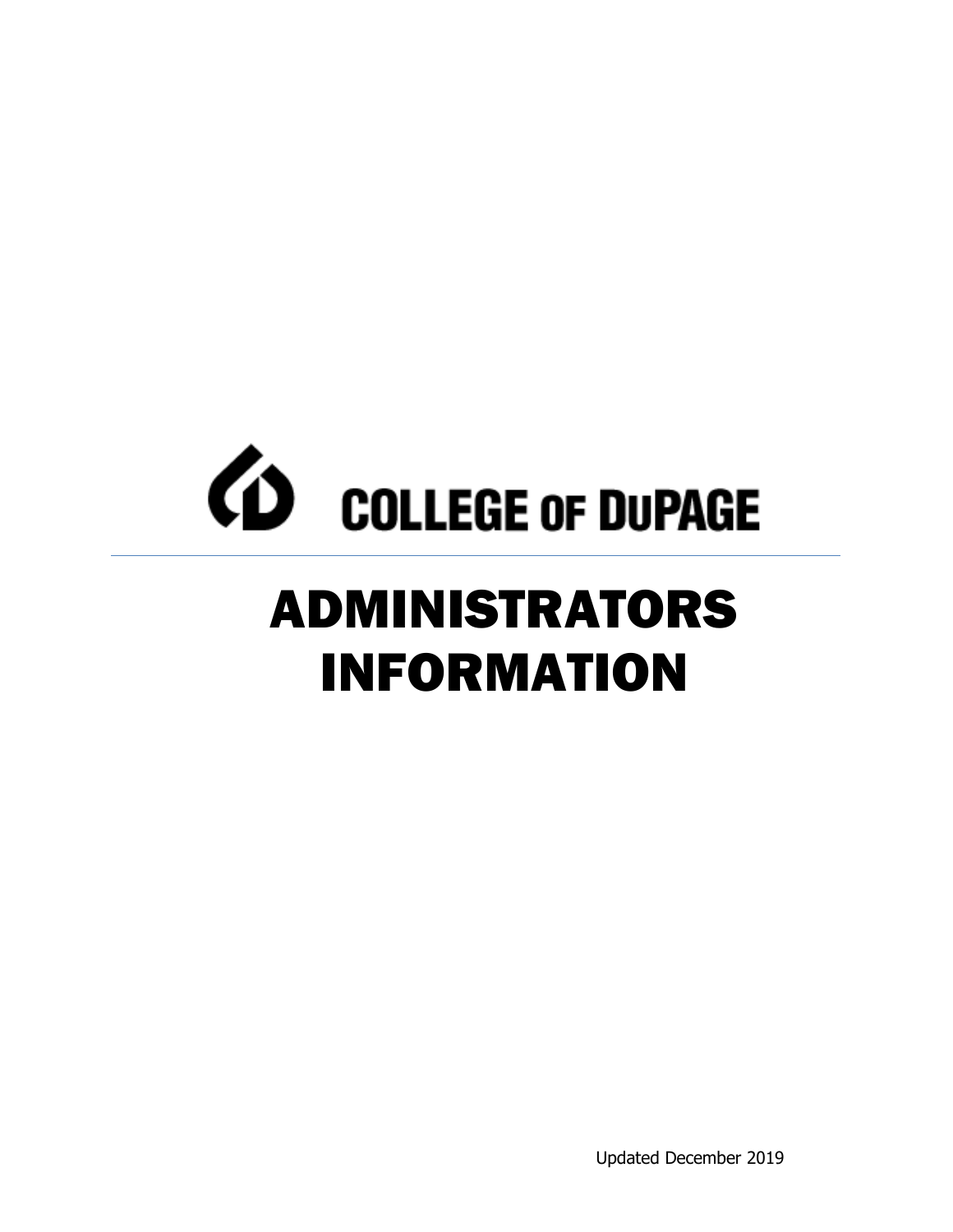# *CD* COLLEGE OF DUPAGE ADMINISTRATORS INFORMATION

Updated December 2019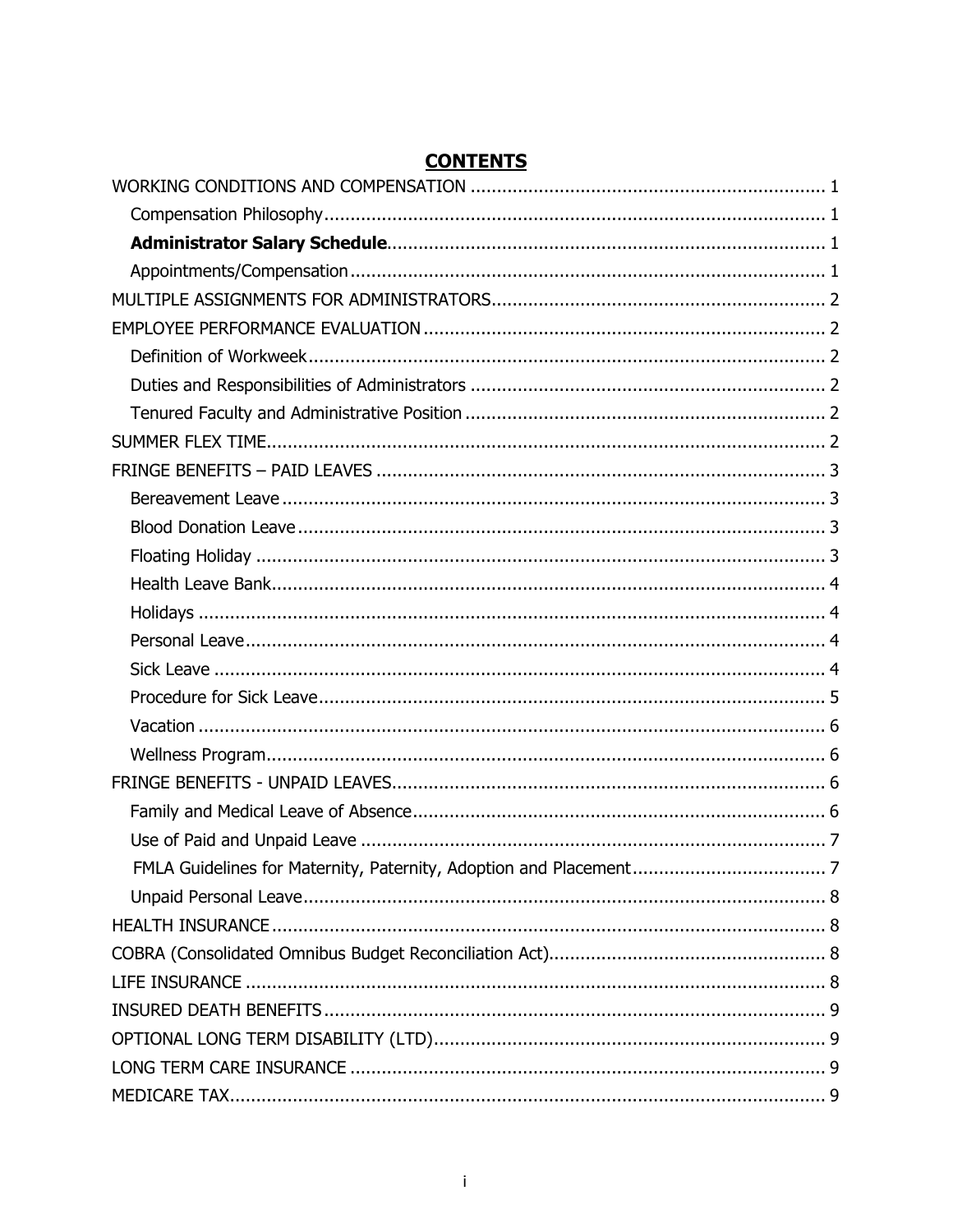# **CONTENTS**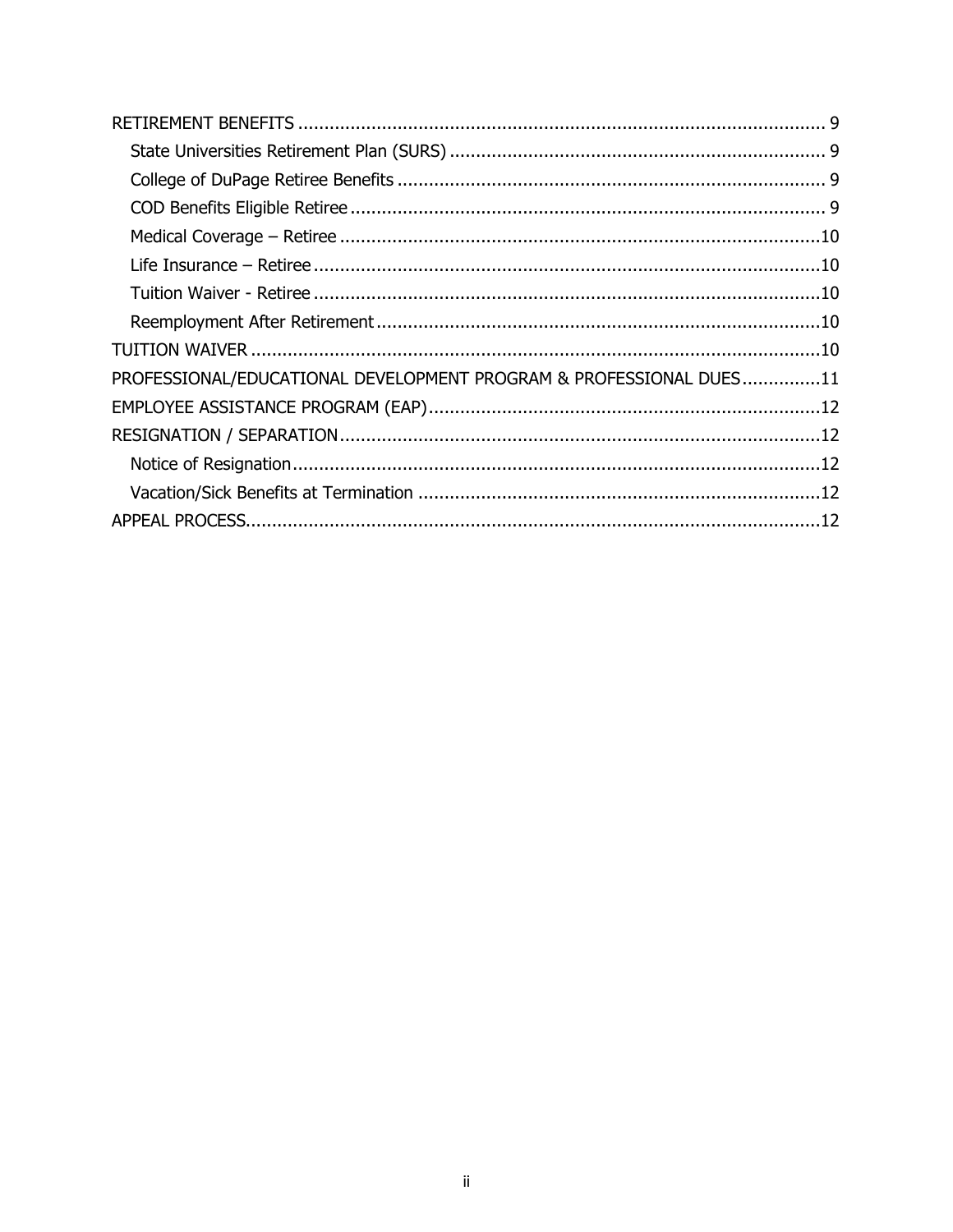| PROFESSIONAL/EDUCATIONAL DEVELOPMENT PROGRAM & PROFESSIONAL DUES11 |  |
|--------------------------------------------------------------------|--|
|                                                                    |  |
|                                                                    |  |
|                                                                    |  |
|                                                                    |  |
|                                                                    |  |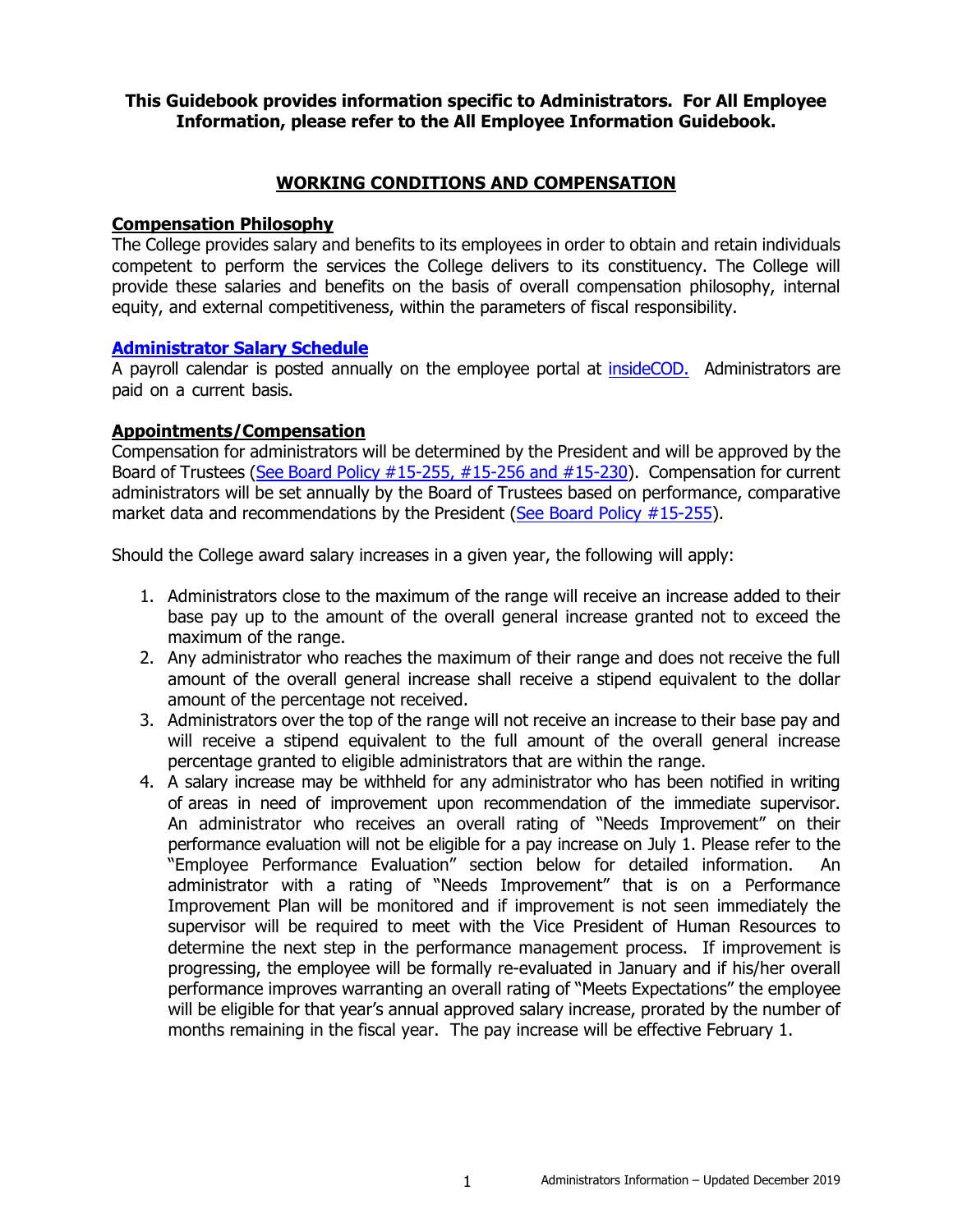### **This Guidebook provides information specific to Administrators. For All Employee Information, please refer to the All Employee Information Guidebook.**

### **WORKING CONDITIONS AND COMPENSATION**

### <span id="page-3-1"></span><span id="page-3-0"></span>**Compensation Philosophy**

The College provides salary and benefits to its employees in order to obtain and retain individuals competent to perform the services the College delivers to its constituency. The College will provide these salaries and benefits on the basis of overall compensation philosophy, internal equity, and external competitiveness, within the parameters of fiscal responsibility.

### <span id="page-3-2"></span>**[Administrator Salary Schedule](http://www.cod.edu/about/humanresources/pdf/administrators-salary-schedule.pdf)**

A payroll calendar is posted annually on the employee portal at [insideCOD.](https://inside.cod.edu/) Administrators are paid on a current basis.

### <span id="page-3-3"></span>**Appointments/Compensation**

Compensation for administrators will be determined by the President and will be approved by the Board of Trustees [\(See Board Policy #15-255, #15-256 and #15-230\)](http://www.cod.edu/about/board_of_trustees/pdf/board_policies.pdf). Compensation for current administrators will be set annually by the Board of Trustees based on performance, comparative market data and recommendations by the President [\(See Board Policy #15-255\)](http://www.cod.edu/about/board_of_trustees/pdf/board_policies.pdf).

Should the College award salary increases in a given year, the following will apply:

- 1. Administrators close to the maximum of the range will receive an increase added to their base pay up to the amount of the overall general increase granted not to exceed the maximum of the range.
- 2. Any administrator who reaches the maximum of their range and does not receive the full amount of the overall general increase shall receive a stipend equivalent to the dollar amount of the percentage not received.
- 3. Administrators over the top of the range will not receive an increase to their base pay and will receive a stipend equivalent to the full amount of the overall general increase percentage granted to eligible administrators that are within the range.
- 4. A salary increase may be withheld for any administrator who has been notified in writing of areas in need of improvement upon recommendation of the immediate supervisor. An administrator who receives an overall rating of "Needs Improvement" on their performance evaluation will not be eligible for a pay increase on July 1. Please refer to the "Employee Performance Evaluation" section below for detailed information. An administrator with a rating of "Needs Improvement" that is on a Performance Improvement Plan will be monitored and if improvement is not seen immediately the supervisor will be required to meet with the Vice President of Human Resources to determine the next step in the performance management process. If improvement is progressing, the employee will be formally re-evaluated in January and if his/her overall performance improves warranting an overall rating of "Meets Expectations" the employee will be eligible for that year's annual approved salary increase, prorated by the number of months remaining in the fiscal year. The pay increase will be effective February 1.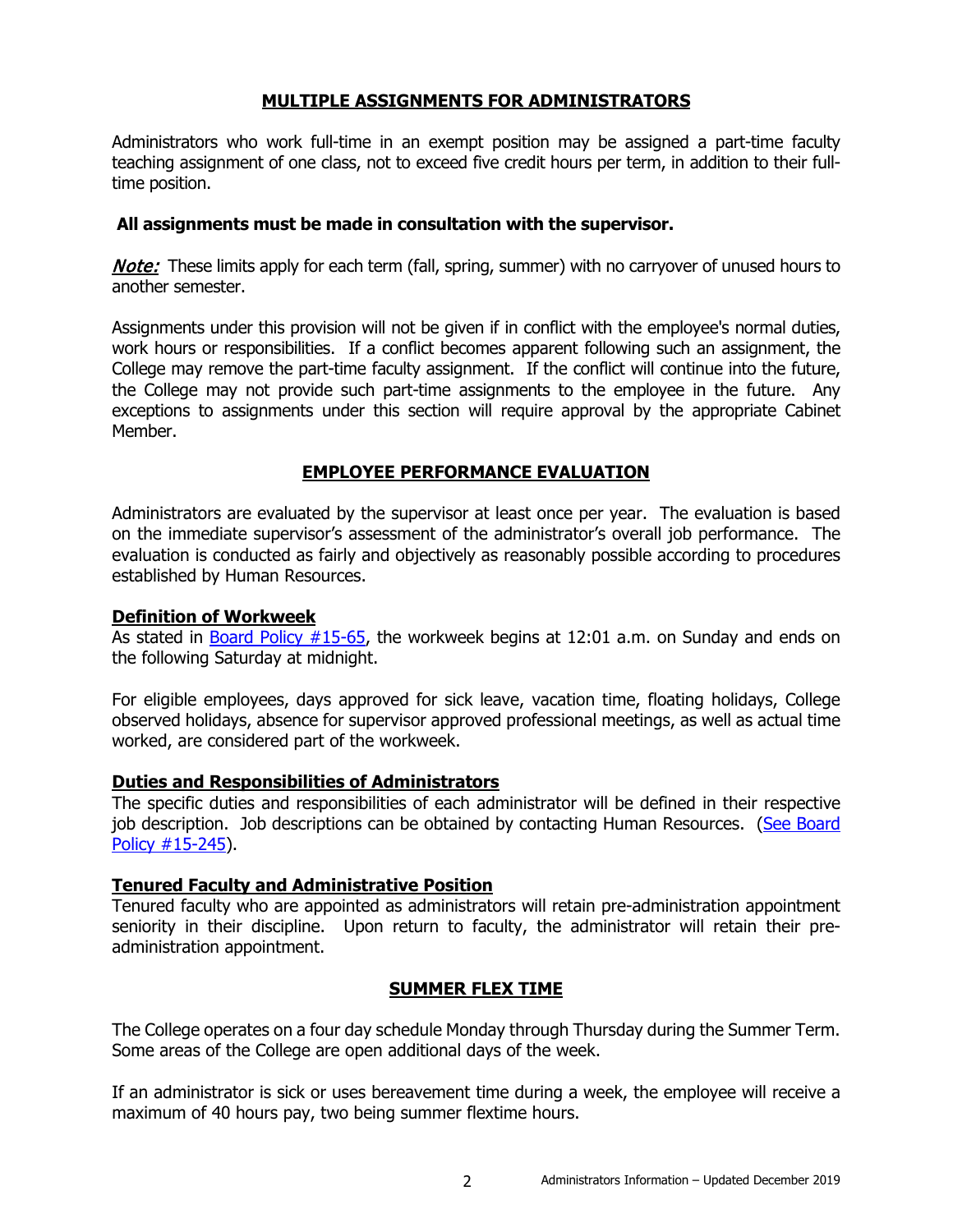### **MULTIPLE ASSIGNMENTS FOR ADMINISTRATORS**

<span id="page-4-0"></span>Administrators who work full-time in an exempt position may be assigned a part-time faculty teaching assignment of one class, not to exceed five credit hours per term, in addition to their fulltime position.

### **All assignments must be made in consultation with the supervisor.**

**Note:** These limits apply for each term (fall, spring, summer) with no carryover of unused hours to another semester.

Assignments under this provision will not be given if in conflict with the employee's normal duties, work hours or responsibilities. If a conflict becomes apparent following such an assignment, the College may remove the part-time faculty assignment. If the conflict will continue into the future, the College may not provide such part-time assignments to the employee in the future. Any exceptions to assignments under this section will require approval by the appropriate Cabinet Member.

### **EMPLOYEE PERFORMANCE EVALUATION**

<span id="page-4-1"></span>Administrators are evaluated by the supervisor at least once per year. The evaluation is based on the immediate supervisor's assessment of the administrator's overall job performance. The evaluation is conducted as fairly [and objectively as reasonably possible according to procedures](http://www.cod.edu/about/humanresources/pdf/administrators-salary-schedule.pdf)  established by Human Resources.

### <span id="page-4-2"></span>**Definition of Workweek**

As stated in [Board Policy #15-65,](http://www.cod.edu/about/board_of_trustees/pdf/board_policies.pdf) the workweek begins at 12:01 a.m. on Sunday and ends on the following Saturday at midnight.

For eligible employees, days approved for sick leave, vacation time, floating holidays, College observed holidays, absence for supervisor approved professional meetings, as well as actual time worked, are considered part of the workweek.

### <span id="page-4-3"></span>**Duties and Responsibilities of Administrators**

The specific duties and responsibilities of each administrator will be defined in their respective job description. Job descriptions can be obtained by contacting Human Resources. (See Board [Policy #15-245\)](http://www.cod.edu/about/board_of_trustees/pdf/board_policies.pdf).

### <span id="page-4-4"></span>**Tenured Faculty and Administrative Position**

Tenured faculty who are appointed as administrators will retain pre-administration appointment seniority in their discipline. Upon return to faculty, the administrator will retain their preadministration appointment.

### **SUMMER FLEX TIME**

<span id="page-4-5"></span>The College operates on a four day schedule Monday through Thursday during the Summer Term. Some areas of the College are open additional days of the week.

If an administrator is sick or uses bereavement time during a week, the employee will receive a maximum of 40 hours pay, two being summer flextime hours.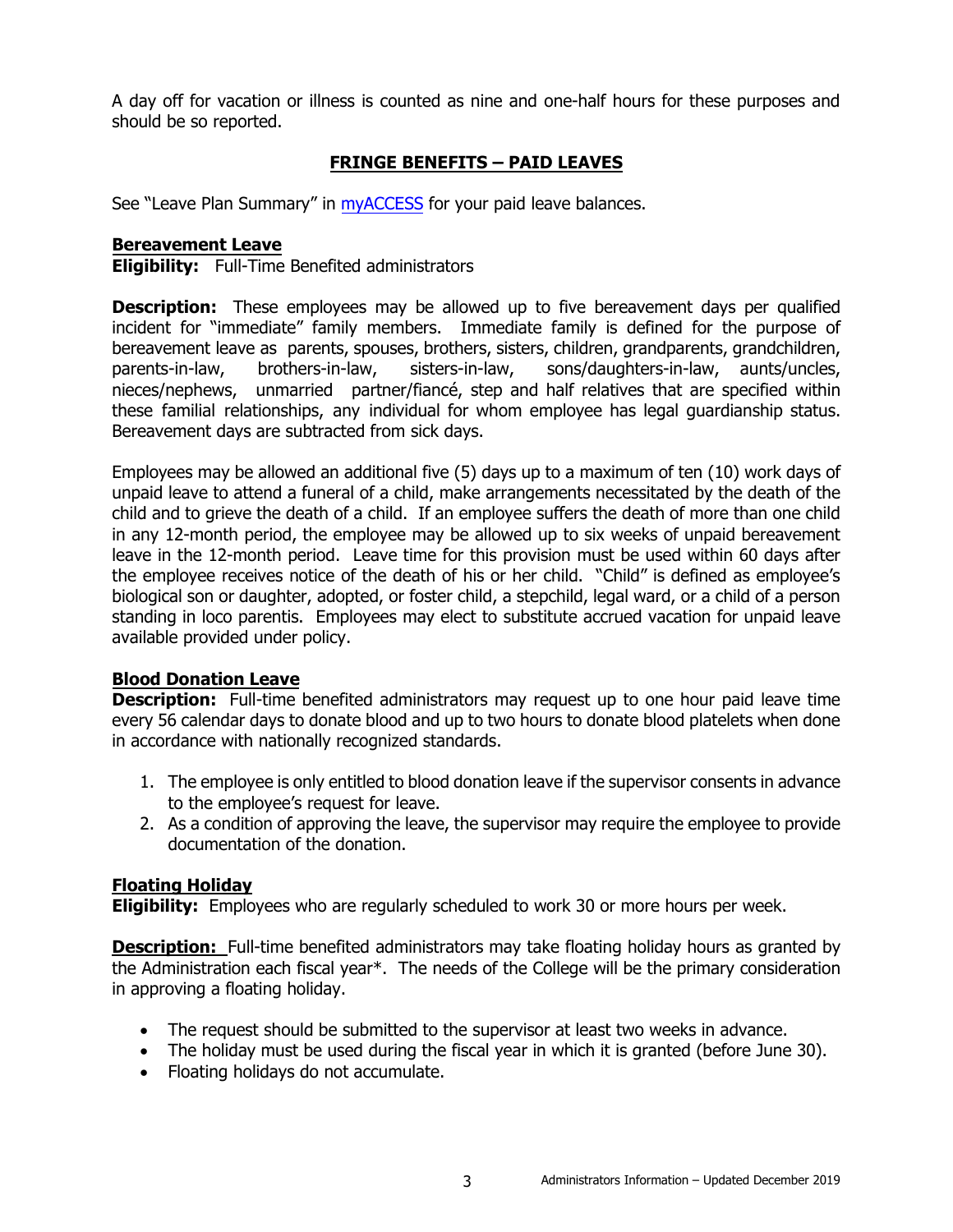A day off for vacation or illness is counted as nine and one-half hours for these purposes and should be so reported.

# **FRINGE BENEFITS – PAID LEAVES**

<span id="page-5-0"></span>See "Leave Plan Summary" in [myACCESS](http://myaccess.cod.edu/) for your paid leave balances.

### <span id="page-5-1"></span>**Bereavement Leave**

**Eligibility:** Full-Time Benefited administrators

**Description:** These employees may be allowed up to five bereavement days per qualified incident for "immediate" family members. Immediate family is defined for the purpose of bereavement leave as parents, spouses, brothers, sisters, children, grandparents, grandchildren,<br>parents-in-law, brothers-in-law, sisters-in-law, sons/daughters-in-law, aunts/uncles, parents-in-law, brothers-in-law, sisters-in-law, sons/daughters-in-law, aunts/uncles, nieces/nephews, unmarried partner/fiancé, step and half relatives that are specified within these familial relationships, any individual for whom employee has legal guardianship status. Bereavement days are subtracted from sick days.

Employees may be allowed an additional five (5) days up to a maximum of ten (10) work days of unpaid leave to attend a funeral of a child, make arrangements necessitated by the death of the child and to grieve the death of a child. If an employee suffers the death of more than one child in any 12-month period, the employee may be allowed up to six weeks of unpaid bereavement leave in the 12-month period. Leave time for this provision must be used within 60 days after the employee receives notice of the death of his or her child. "Child" is defined as employee's biological son or daughter, adopted, or foster child, a stepchild, legal ward, or a child of a person standing in loco parentis. Employees may elect to substitute accrued vacation for unpaid leave available provided under policy.

### <span id="page-5-2"></span>**Blood Donation Leave**

**Description:** Full-time benefited administrators may request up to one hour paid leave time every 56 calendar days to donate blood and up to two hours to donate blood platelets when done in accordance with nationally recognized standards.

- 1. The employee is only entitled to blood donation leave if the supervisor consents in advance to the employee's request for leave.
- 2. As a condition of approving the leave, the supervisor may require the employee to provide documentation of the donation.

### <span id="page-5-3"></span>**Floating Holiday**

**Eligibility:** Employees who are regularly scheduled to work 30 or more hours per week.

**Description:** Full-time benefited administrators may take floating holiday hours as granted by the Administration each fiscal year\*. The needs of the College will be the primary consideration in approving a floating holiday.

- The request should be submitted to the supervisor at least two weeks in advance.
- The holiday must be used during the fiscal year in which it is granted (before June 30).
- Floating holidays do not accumulate.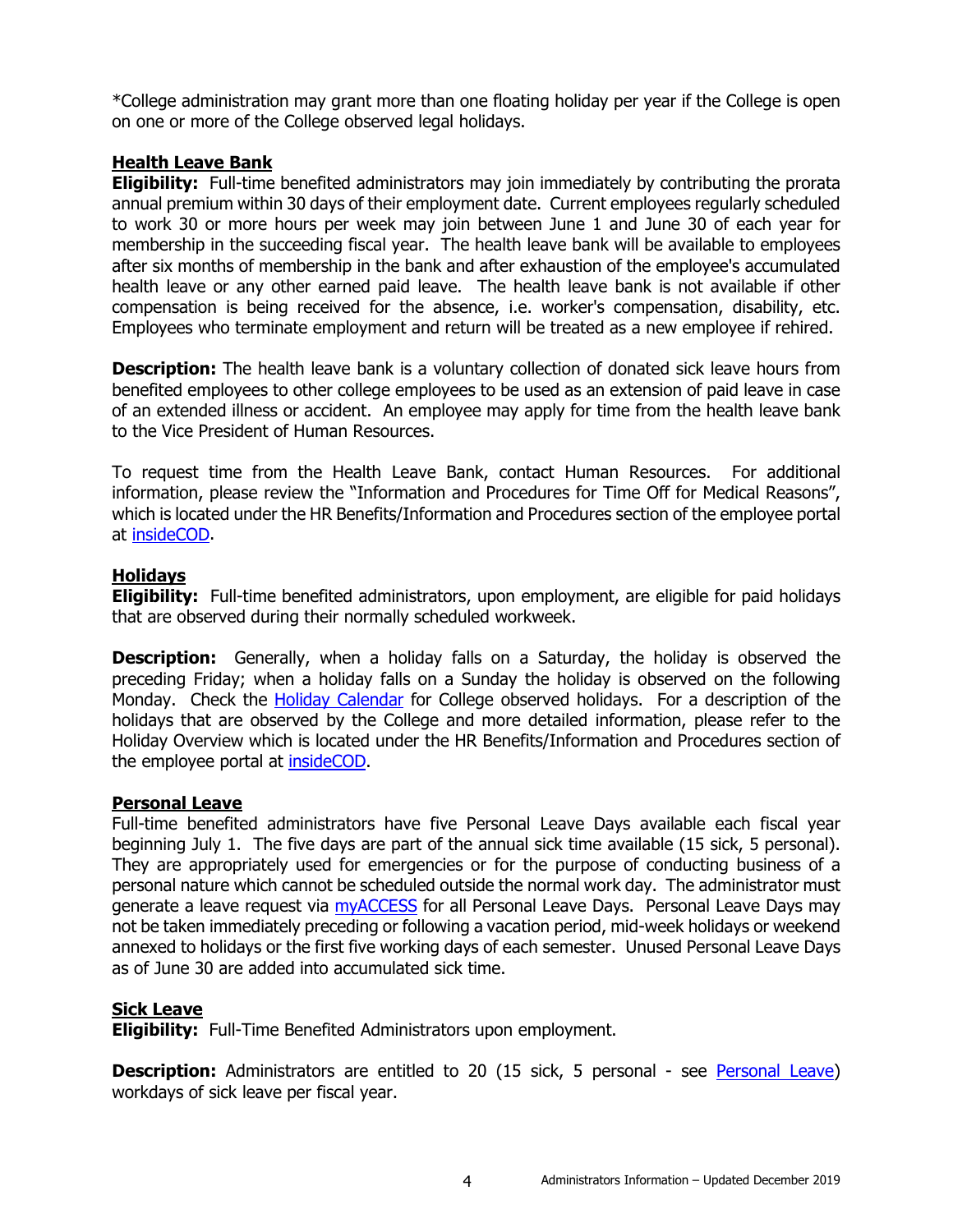\*College administration may grant more than one floating holiday per year if the College is open on one or more of the College observed legal holidays.

### <span id="page-6-0"></span>**Health Leave Bank**

**Eligibility:** Full-time benefited administrators may join immediately by contributing the prorata annual premium within 30 days of their employment date. Current employees regularly scheduled to work 30 or more hours per week may join between June 1 and June 30 of each year for membership in the succeeding fiscal year. The health leave bank will be available to employees after six months of membership in the bank and after exhaustion of the employee's accumulated health leave or any other earned paid leave. The health leave bank is not available if other compensation is being received for the absence, i.e. worker's compensation, disability, etc. Employees who terminate employment and return will be treated as a new employee if rehired.

**Description:** The health leave bank is a voluntary collection of donated sick leave hours from benefited employees to other college employees to be used as an extension of paid leave in case of an extended illness or accident. An employee may apply for time from the health leave bank to the Vice President of Human Resources.

To request time from the Health Leave Bank, contact Human Resources. For additional information, please review the "Information and Procedures for Time Off for Medical Reasons", which is located under the HR Benefits/Information and Procedures section of the employee portal at [insideCOD.](http://inside.cod.edu/)

### <span id="page-6-1"></span>**Holidays**

**Eligibility:** Full-time benefited administrators, upon employment, are eligible for paid holidays that are observed during their normally scheduled workweek.

**Description:** Generally, when a holiday falls on a Saturday, the holiday is observed the preceding Friday; when a holiday falls on a Sunday the holiday is observed on the following Monday. Check the [Holiday Calendar](https://inside.cod.edu/employees/Pages/default.aspx) for College observed holidays. For a description of the holidays that are observed by the College and more detailed information, please refer to the Holiday Overview which is located under the HR Benefits/Information and Procedures section of the employee portal at **insideCOD**.

### <span id="page-6-2"></span>**Personal Leave**

Full-time benefited administrators have five Personal Leave Days available each fiscal year beginning July 1. The five days are part of the annual sick time available (15 sick, 5 personal). They are appropriately used for emergencies or for the purpose of conducting business of a personal nature which cannot be scheduled outside the normal work day. The administrator must generate a leave request via [myACCESS](http://myaccess.cod.edu/) for all Personal Leave Days. Personal Leave Days may not be taken immediately preceding or following a vacation period, mid-week holidays or weekend annexed to holidays or the first five working days of each semester. Unused Personal Leave Days as of June 30 are added into accumulated sick time.

### <span id="page-6-3"></span>**Sick Leave**

**Eligibility:** Full-Time Benefited Administrators upon employment.

**Description:** Administrators are entitled to 20 (15 sick, 5 personal - see [Personal Leave\)](#page-6-2) workdays of sick leave per fiscal year.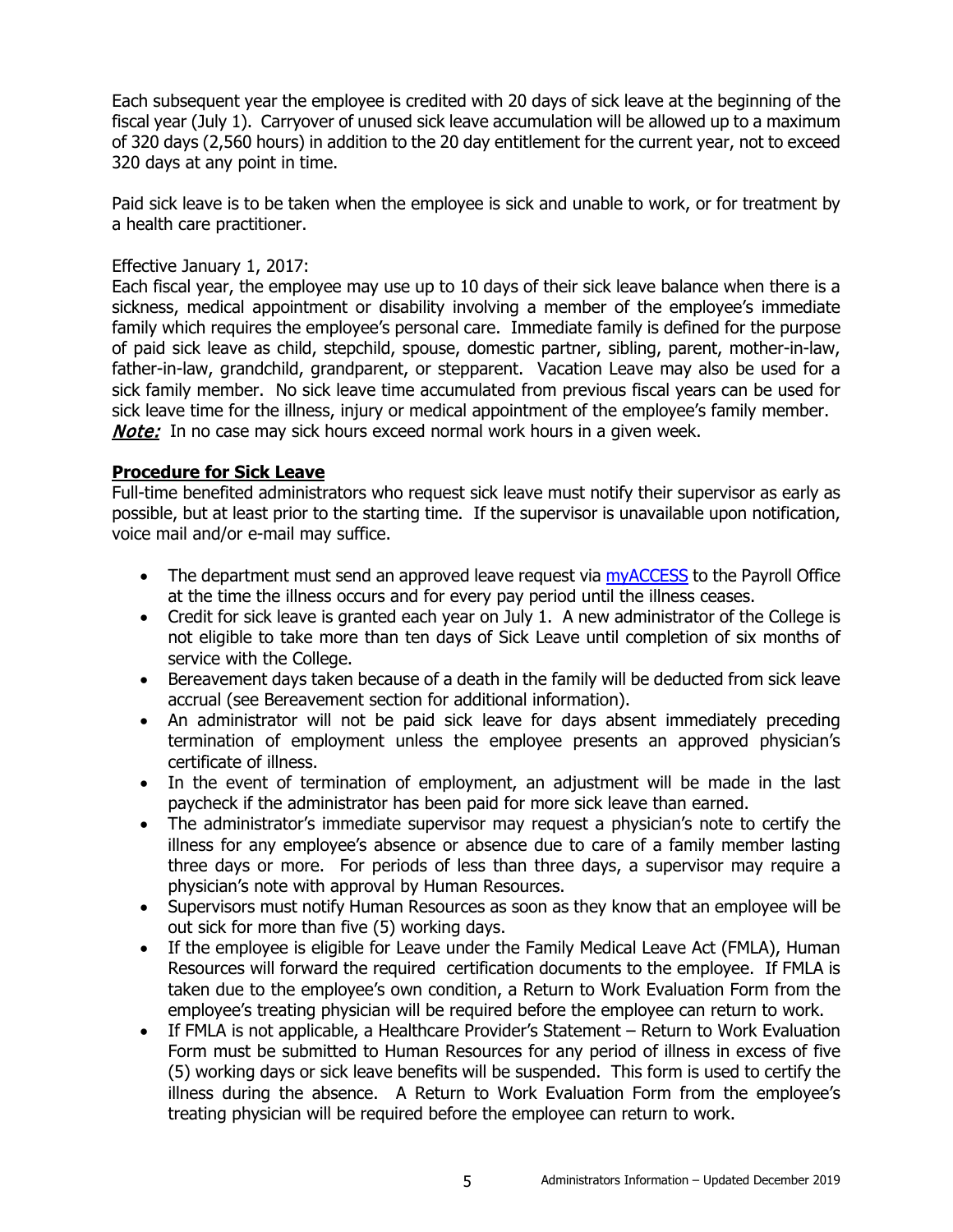Each subsequent year the employee is credited with 20 days of sick leave at the beginning of the fiscal year (July 1). Carryover of unused sick leave accumulation will be allowed up to a maximum of 320 days (2,560 hours) in addition to the 20 day entitlement for the current year, not to exceed 320 days at any point in time.

Paid sick leave is to be taken when the employee is sick and unable to work, or for treatment by a health care practitioner.

# Effective January 1, 2017:

Each fiscal year, the employee may use up to 10 days of their sick leave balance when there is a sickness, medical appointment or disability involving a member of the employee's immediate family which requires the employee's personal care. Immediate family is defined for the purpose of paid sick leave as child, stepchild, spouse, domestic partner, sibling, parent, mother-in-law, father-in-law, grandchild, grandparent, or stepparent. Vacation Leave may also be used for a sick family member. No sick leave time accumulated from previous fiscal years can be used for sick leave time for the illness, injury or medical appointment of the employee's family member. **Note:** In no case may sick hours exceed normal work hours in a given week.

### <span id="page-7-0"></span>**Procedure for Sick Leave**

Full-time benefited administrators who request sick leave must notify their supervisor as early as possible, but at least prior to the starting time. If the supervisor is unavailable upon notification, voice mail and/or e-mail may suffice.

- The department must send an approved leave request via [myACCESS](http://myaccess.cod.edu/) to the Payroll Office at the time the illness occurs and for every pay period until the illness ceases.
- Credit for sick leave is granted each year on July 1. A new administrator of the College is not eligible to take more than ten days of Sick Leave until completion of six months of service with the College.
- Bereavement days taken because of a death in the family will be deducted from sick leave accrual (see Bereavement section for additional information).
- An administrator will not be paid sick leave for days absent immediately preceding termination of employment unless the employee presents an approved physician's certificate of illness.
- In the event of termination of employment, an adjustment will be made in the last paycheck if the administrator has been paid for more sick leave than earned.
- The administrator's immediate supervisor may request a physician's note to certify the illness for any employee's absence or absence due to care of a family member lasting three days or more. For periods of less than three days, a supervisor may require a physician's note with approval by Human Resources.
- Supervisors must notify Human Resources as soon as they know that an employee will be out sick for more than five (5) working days.
- If the employee is eligible for Leave under the Family Medical Leave Act (FMLA), Human Resources will forward the required certification documents to the employee. If FMLA is taken due to the employee's own condition, a Return to Work Evaluation Form from the employee's treating physician will be required before the employee can return to work.
- If FMLA is not applicable, a Healthcare Provider's Statement Return to Work Evaluation Form must be submitted to Human Resources for any period of illness in excess of five (5) working days or sick leave benefits will be suspended. This form is used to certify the illness during the absence. A Return to Work Evaluation Form from the employee's treating physician will be required before the employee can return to work.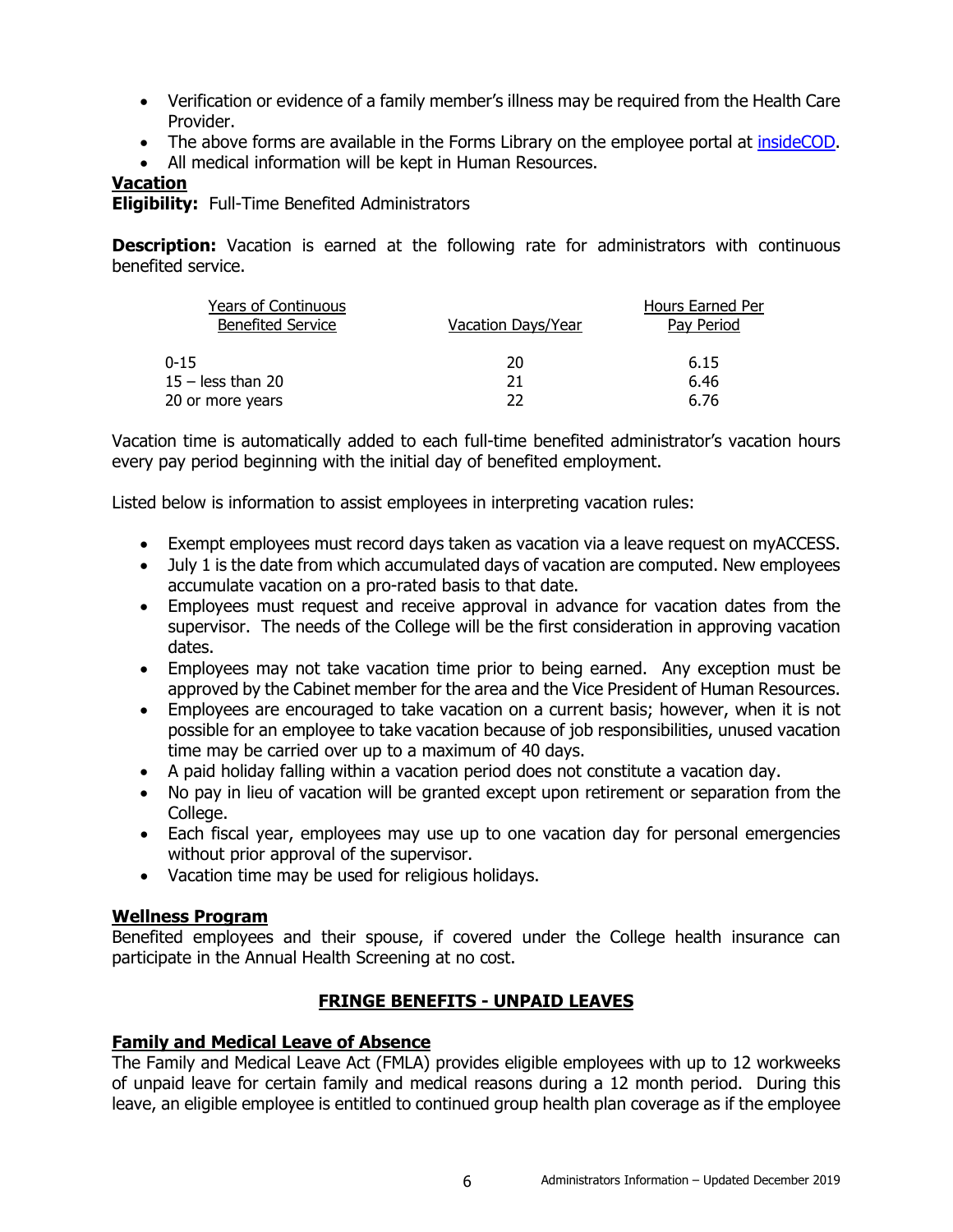- Verification or evidence of a family member's illness may be required from the Health Care Provider.
- The above forms are available in the Forms Library on the employee portal at [insideCOD.](https://inside.cod.edu/employees)
- All medical information will be kept in Human Resources.

# <span id="page-8-0"></span>**Vacation**

**Eligibility:** Full-Time Benefited Administrators

**Description:** Vacation is earned at the following rate for administrators with continuous benefited service.

| <b>Years of Continuous</b><br><b>Benefited Service</b> | Vacation Days/Year | Hours Earned Per<br>Pay Period |
|--------------------------------------------------------|--------------------|--------------------------------|
| 0-15                                                   | 20                 | 6.15                           |
| $15 -$ less than 20                                    | 21                 | 6.46                           |
| 20 or more years                                       | つつ                 | 6.76                           |

Vacation time is automatically added to each full-time benefited administrator's vacation hours every pay period beginning with the initial day of benefited employment.

Listed below is information to assist employees in interpreting vacation rules:

- Exempt employees must record days taken as vacation via a leave request on myACCESS.
- July 1 is the date from which accumulated days of vacation are computed. New employees accumulate vacation on a pro-rated basis to that date.
- Employees must request and receive approval in advance for vacation dates from the supervisor. The needs of the College will be the first consideration in approving vacation dates.
- Employees may not take vacation time prior to being earned. Any exception must be approved by the Cabinet member for the area and the Vice President of Human Resources.
- Employees are encouraged to take vacation on a current basis; however, when it is not possible for an employee to take vacation because of job responsibilities, unused vacation time may be carried over up to a maximum of 40 days.
- A paid holiday falling within a vacation period does not constitute a vacation day.
- No pay in lieu of vacation will be granted except upon retirement or separation from the College.
- Each fiscal year, employees may use up to one vacation day for personal emergencies without prior approval of the supervisor.
- Vacation time may be used for religious holidays.

### <span id="page-8-1"></span>**Wellness Program**

Benefited employees and their spouse, if covered under the College health insurance can participate in the Annual Health Screening at no cost.

# **FRINGE BENEFITS - UNPAID LEAVES**

### <span id="page-8-3"></span><span id="page-8-2"></span>**Family and Medical Leave of Absence**

The Family and Medical Leave Act (FMLA) provides eligible employees with up to 12 workweeks of unpaid leave for certain family and medical reasons during a 12 month period. During this leave, an eligible employee is entitled to continued group health plan coverage as if the employee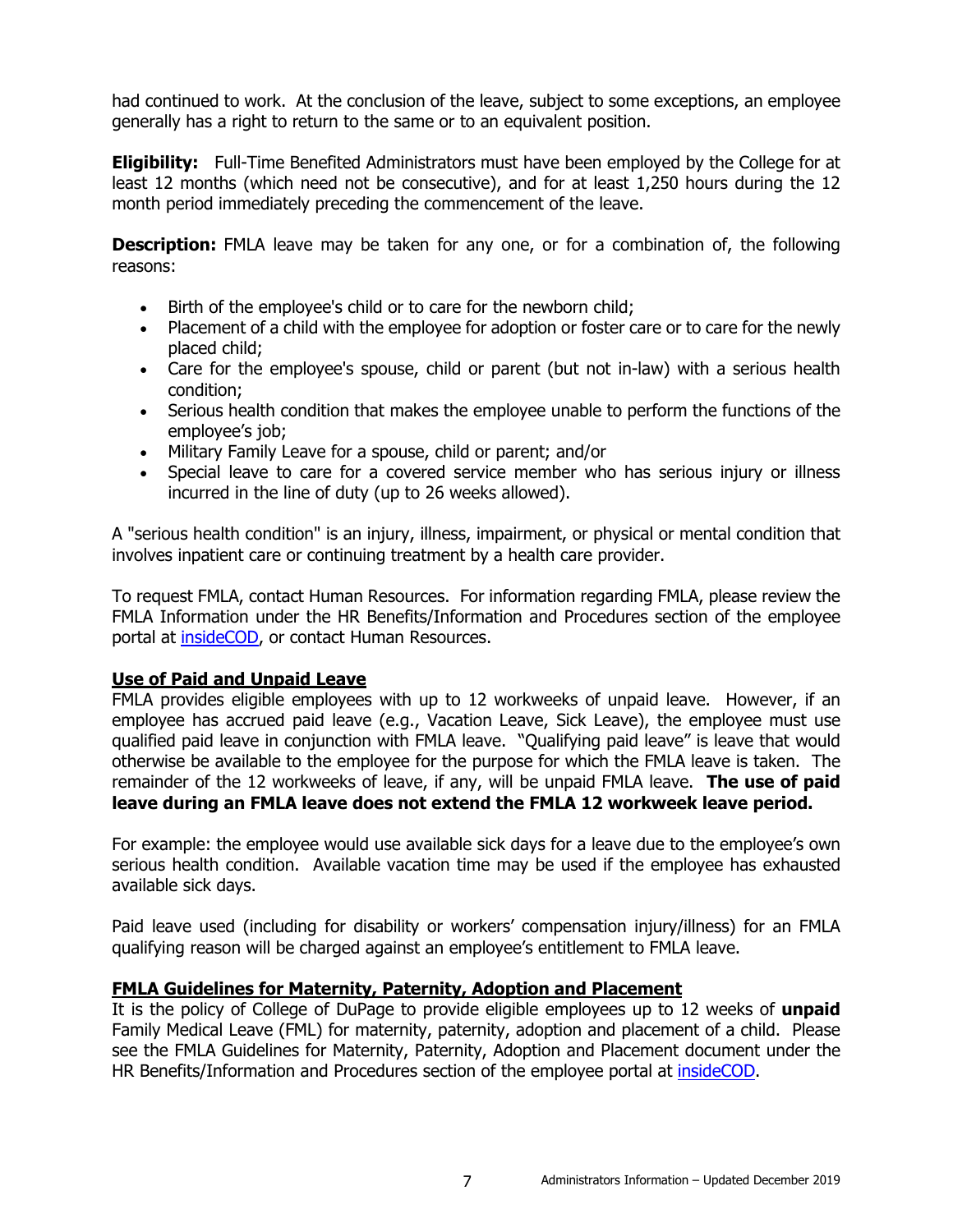had continued to work. At the conclusion of the leave, subject to some exceptions, an employee generally has a right to return to the same or to an equivalent position.

**Eligibility:** Full-Time Benefited Administrators must have been employed by the College for at least 12 months (which need not be consecutive), and for at least 1,250 hours during the 12 month period immediately preceding the commencement of the leave.

**Description:** FMLA leave may be taken for any one, or for a combination of, the following reasons:

- Birth of the employee's child or to care for the newborn child;
- Placement of a child with the employee for adoption or foster care or to care for the newly placed child;
- Care for the employee's spouse, child or parent (but not in-law) with a serious health condition;
- Serious health condition that makes the employee unable to perform the functions of the employee's job;
- Military Family Leave for a spouse, child or parent; and/or
- Special leave to care for a covered service member who has serious injury or illness incurred in the line of duty (up to 26 weeks allowed).

A "serious health condition" is an injury, illness, impairment, or physical or mental condition that involves inpatient care or continuing treatment by a health care provider.

To request FMLA, contact Human Resources. For information regarding FMLA, please review the FMLA Information under the HR Benefits/Information and Procedures section of the employee portal at [insideCOD,](https://inside.cod.edu/employees) or contact Human Resources.

### <span id="page-9-0"></span>**Use of Paid and Unpaid Leave**

FMLA provides eligible employees with up to 12 workweeks of unpaid leave. However, if an employee has accrued paid leave (e.g., Vacation Leave, Sick Leave), the employee must use qualified paid leave in conjunction with FMLA leave. "Qualifying paid leave" is leave that would otherwise be available to the employee for the purpose for which the FMLA leave is taken. The remainder of the 12 workweeks of leave, if any, will be unpaid FMLA leave. **The use of paid leave during an FMLA leave does not extend the FMLA 12 workweek leave period.**

For example: the employee would use available sick days for a leave due to the employee's own serious health condition. Available vacation time may be used if the employee has exhausted available sick days.

Paid leave used (including for disability or workers' compensation injury/illness) for an FMLA qualifying reason will be charged against an employee's entitlement to FMLA leave.

### <span id="page-9-1"></span>**FMLA Guidelines for Maternity, Paternity, Adoption and Placement**

It is the policy of College of DuPage to provide eligible employees up to 12 weeks of **unpaid** Family Medical Leave (FML) for maternity, paternity, adoption and placement of a child. Please see the FMLA Guidelines for Maternity, Paternity, Adoption and Placement document under the HR Benefits/Information and Procedures section of the employee portal at [insideCOD.](http://inside.cod.edu/)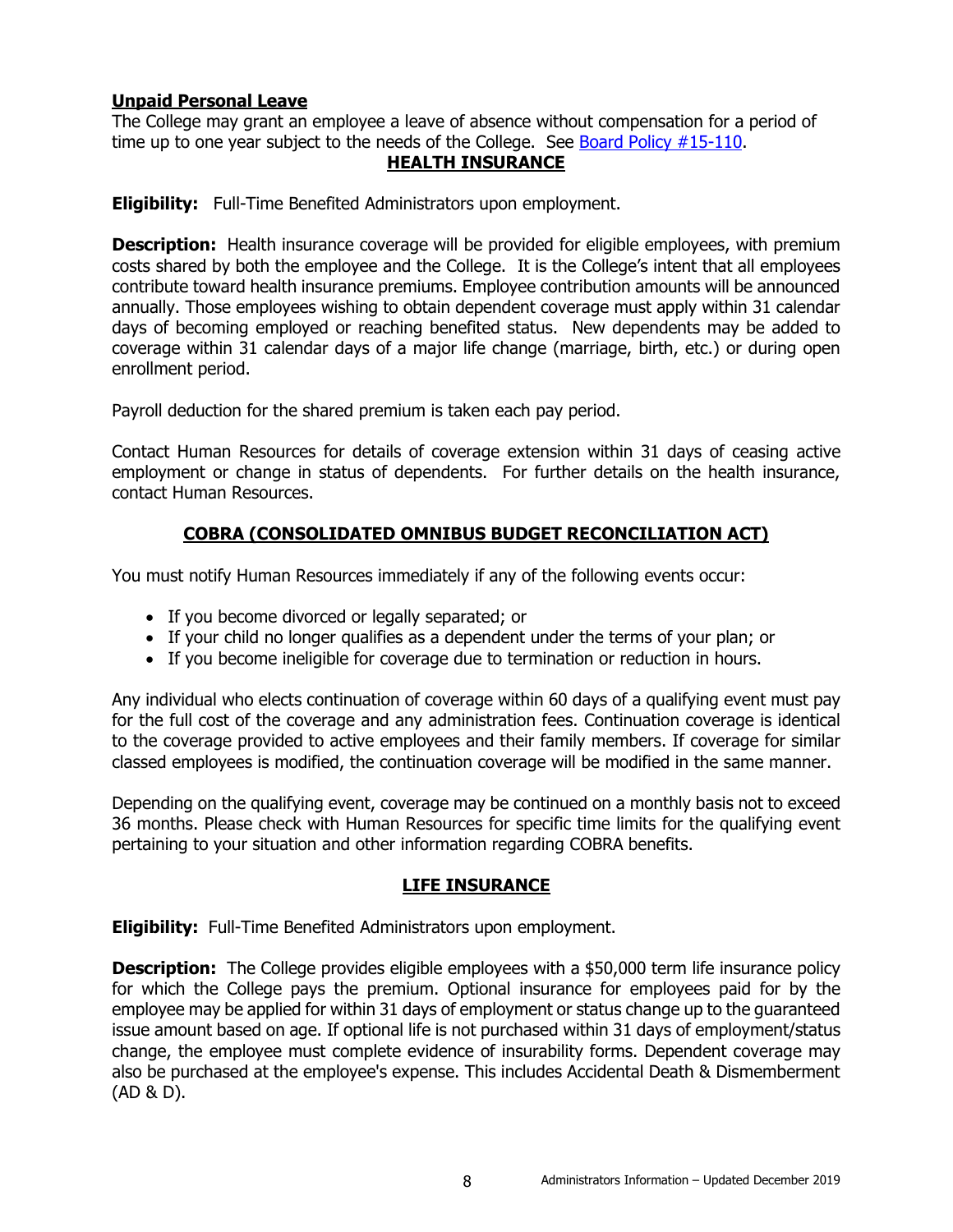# <span id="page-10-0"></span>**Unpaid Personal Leave**

<span id="page-10-1"></span>The College may grant an employee a leave of absence without compensation for a period of time up to one year subject to the needs of the College. See [Board Policy #15-110.](http://www.cod.edu/about/board_of_trustees/pdf/board_policies.pdf)

# **HEALTH INSURANCE**

**Eligibility:** Full-Time Benefited Administrators upon employment.

**Description:** Health insurance coverage will be provided for eligible employees, with premium costs shared by both the employee and the College. It is the College's intent that all employees contribute toward health insurance premiums. Employee contribution amounts will be announced annually. Those employees wishing to obtain dependent coverage must apply within 31 calendar days of becoming employed or reaching benefited status. New dependents may be added to coverage within 31 calendar days of a major life change (marriage, birth, etc.) or during open enrollment period.

Payroll deduction for the shared premium is taken each pay period.

Contact Human Resources for details of coverage extension within 31 days of ceasing active employment or change in status of dependents. For further details on the health insurance, contact Human Resources.

# **COBRA (CONSOLIDATED OMNIBUS BUDGET RECONCILIATION ACT)**

<span id="page-10-2"></span>You must notify Human Resources immediately if any of the following events occur:

- If you become divorced or legally separated; or
- If your child no longer qualifies as a dependent under the terms of your plan; or
- If you become ineligible for coverage due to termination or reduction in hours.

Any individual who elects continuation of coverage within 60 days of a qualifying event must pay for the full cost of the coverage and any administration fees. Continuation coverage is identical to the coverage provided to active employees and their family members. If coverage for similar classed employees is modified, the continuation coverage will be modified in the same manner.

Depending on the qualifying event, coverage may be continued on a monthly basis not to exceed 36 months. Please check with Human Resources for specific time limits for the qualifying event pertaining to your situation and other information regarding COBRA benefits.

### **LIFE INSURANCE**

<span id="page-10-3"></span>**Eligibility:** Full-Time Benefited Administrators upon employment.

**Description:** The College provides eligible employees with a \$50,000 term life insurance policy for which the College pays the premium. Optional insurance for employees paid for by the employee may be applied for within 31 days of employment or status change up to the guaranteed issue amount based on age. If optional life is not purchased within 31 days of employment/status change, the employee must complete evidence of insurability forms. Dependent coverage may also be purchased at the employee's expense. This includes Accidental Death & Dismemberment (AD & D).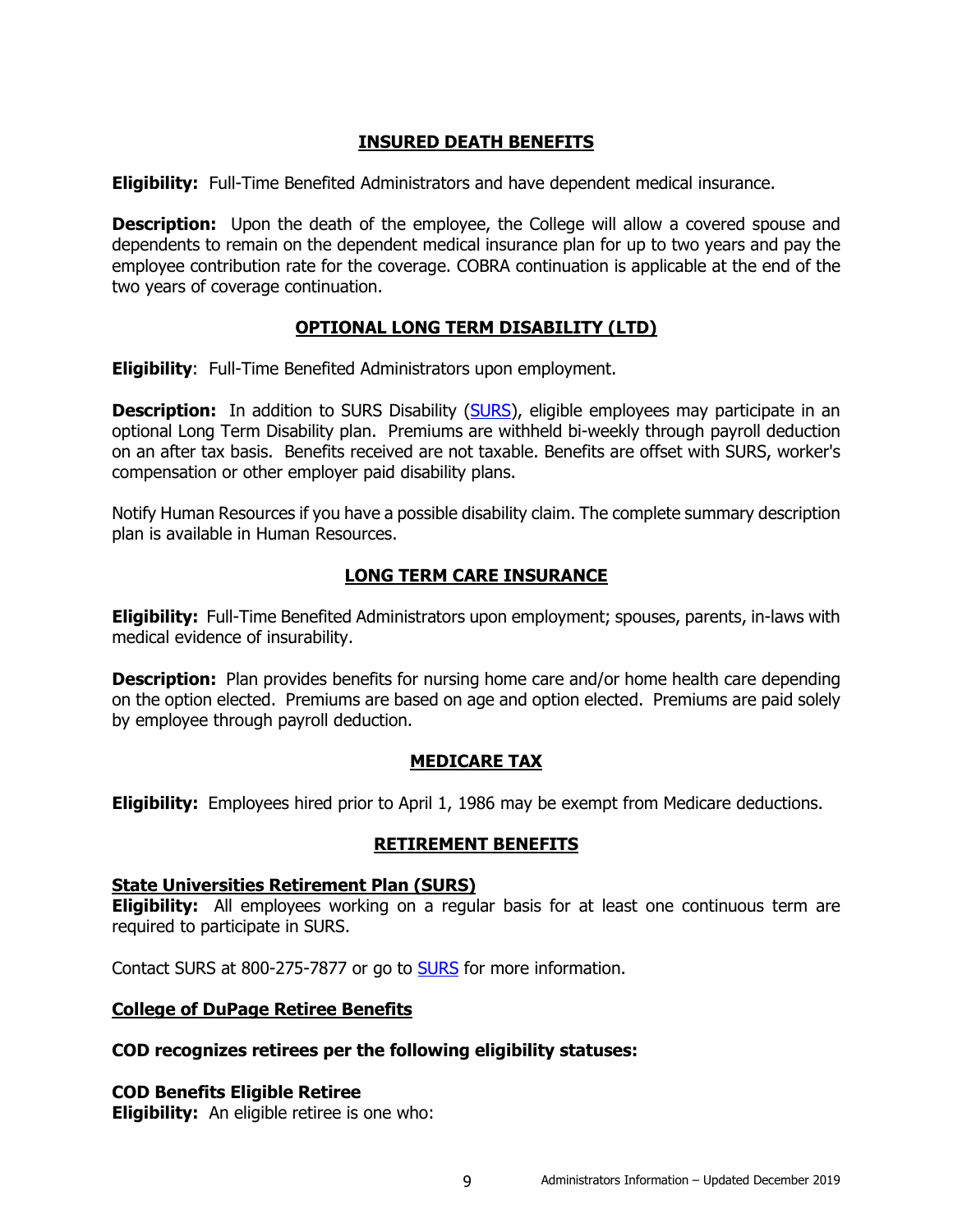# **INSURED DEATH BENEFITS**

<span id="page-11-0"></span>**Eligibility:** Full-Time Benefited Administrators and have dependent medical insurance.

**Description:** Upon the death of the employee, the College will allow a covered spouse and dependents to remain on the dependent medical insurance plan for up to two years and pay the employee contribution rate for the coverage. COBRA continuation is applicable at the end of the two years of coverage continuation.

# **OPTIONAL LONG TERM DISABILITY (LTD)**

<span id="page-11-1"></span>**Eligibility**: Full-Time Benefited Administrators upon employment.

**Description:** In addition to SURS Disability [\(SURS\)](http://www.surs.org/), eligible employees may participate in an optional Long Term Disability plan. Premiums are withheld bi-weekly through payroll deduction on an after tax basis. Benefits received are not taxable. Benefits are offset with SURS, worker's compensation or other employer paid disability plans.

Notify Human Resources if you have a possible disability claim. The complete summary description plan is available in Human Resources.

# **LONG TERM CARE INSURANCE**

<span id="page-11-2"></span>**Eligibility:** Full-Time Benefited Administrators upon employment; spouses, parents, in-laws with medical evidence of insurability.

**Description:** Plan provides benefits for nursing home care and/or home health care depending on the option elected. Premiums are based on age and option elected. Premiums are paid solely by employee through payroll deduction.

# **MEDICARE TAX**

<span id="page-11-4"></span><span id="page-11-3"></span>**Eligibility:** Employees hired prior to April 1, 1986 may be exempt from Medicare deductions.

# **RETIREMENT BENEFITS**

### <span id="page-11-5"></span>**State Universities Retirement Plan (SURS)**

**Eligibility:** All employees working on a regular basis for at least one continuous term are required to participate in SURS.

Contact SURS at 800-275-7877 or go to [SURS](http://www.surs.org/) for more information.

### <span id="page-11-6"></span>**College of DuPage Retiree Benefits**

### **COD recognizes retirees per the following eligibility statuses:**

<span id="page-11-7"></span>**COD Benefits Eligible Retiree**

**Eligibility:** An eligible retiree is one who: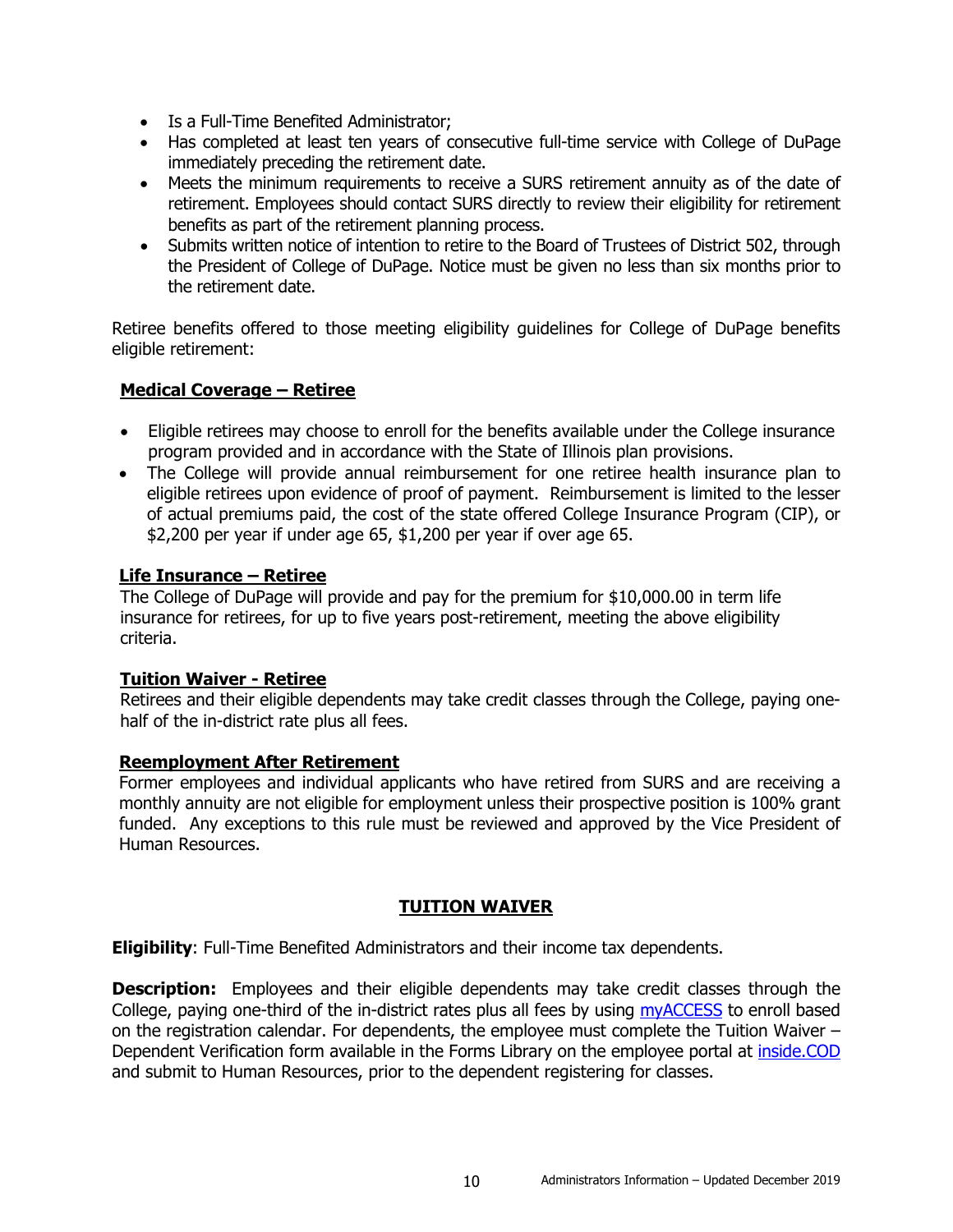- Is a Full-Time Benefited Administrator;
- Has completed at least ten years of consecutive full-time service with College of DuPage immediately preceding the retirement date.
- Meets the minimum requirements to receive a SURS retirement annuity as of the date of retirement. Employees should contact SURS directly to review their eligibility for retirement benefits as part of the retirement planning process.
- Submits written notice of intention to retire to the Board of Trustees of District 502, through the President of College of DuPage. Notice must be given no less than six months prior to the retirement date.

Retiree benefits offered to those meeting eligibility guidelines for College of DuPage benefits eligible retirement:

# <span id="page-12-0"></span>**Medical Coverage – Retiree**

- Eligible retirees may choose to enroll for the benefits available under the College insurance program provided and in accordance with the State of Illinois plan provisions.
- The College will provide annual reimbursement for one retiree health insurance plan to eligible retirees upon evidence of proof of payment. Reimbursement is limited to the lesser of actual premiums paid, the cost of the state offered College Insurance Program (CIP), or \$2,200 per year if under age 65, \$1,200 per year if over age 65.

# <span id="page-12-1"></span>**Life Insurance – Retiree**

The College of DuPage will provide and pay for the premium for \$10,000.00 in term life insurance for retirees, for up to five years post-retirement, meeting the above eligibility criteria.

### <span id="page-12-2"></span>**Tuition Waiver - Retiree**

Retirees and their eligible dependents may take credit classes through the College, paying onehalf of the in-district rate plus all fees.

### <span id="page-12-3"></span>**Reemployment After Retirement**

Former employees and individual applicants who have retired from SURS and are receiving a monthly annuity are not eligible for employment unless their prospective position is 100% grant funded. Any exceptions to this rule must be reviewed and approved by the Vice President of Human Resources.

# **TUITION WAIVER**

<span id="page-12-4"></span>**Eligibility**: Full-Time Benefited Administrators and their income tax dependents.

**Description:** Employees and their eligible dependents may take credit classes through the College, paying one-third of the in-district rates plus all fees by using [myACCESS](http://myaccess.cod.edu/) to enroll based on the registration calendar. For dependents, the employee must complete the Tuition Waiver – Dependent Verification form available in the Forms Library on the employee portal at [inside.COD](http://inside.cod.edu/) and submit to Human Resources, prior to the dependent registering for classes.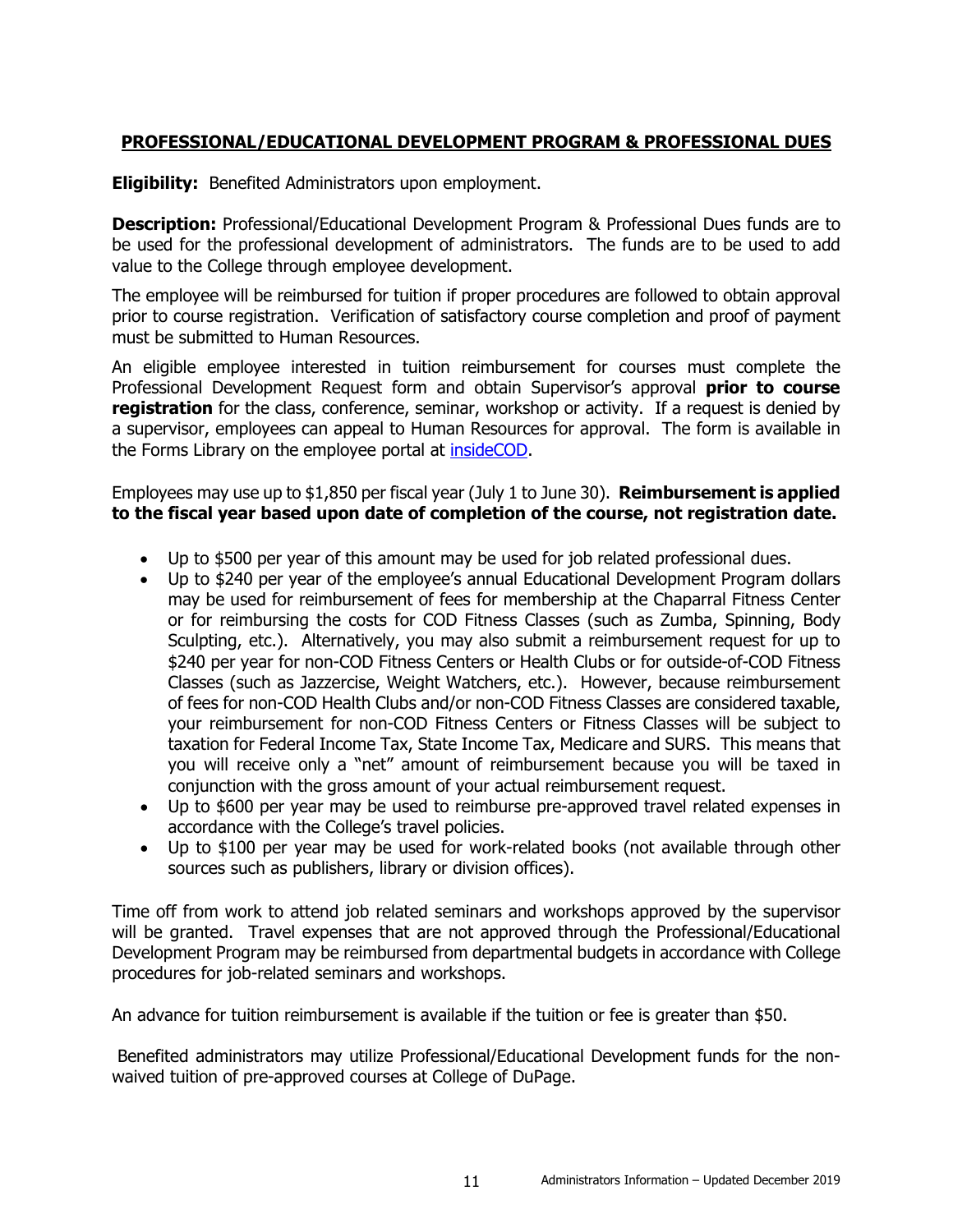# <span id="page-13-0"></span>**PROFESSIONAL/EDUCATIONAL DEVELOPMENT PROGRAM & PROFESSIONAL DUES**

**Eligibility:** Benefited Administrators upon employment.

**Description:** Professional/Educational Development Program & Professional Dues funds are to be used for the professional development of administrators. The funds are to be used to add value to the College through employee development.

The employee will be reimbursed for tuition if proper procedures are followed to obtain approval prior to course registration. Verification of satisfactory course completion and proof of payment must be submitted to Human Resources.

An eligible employee interested in tuition reimbursement for courses must complete the Professional Development Request form and obtain Supervisor's approval **prior to course**  registration for the class, conference, seminar, workshop or activity. If a request is denied by a supervisor, employees can appeal to Human Resources for approval. The form is available in the Forms Library on the employee portal at [insideCOD.](http://inside.cod.edu/)

Employees may use up to \$1,850 per fiscal year (July 1 to June 30). **Reimbursement is applied to the fiscal year based upon date of completion of the course, not registration date.**

- Up to \$500 per year of this amount may be used for job related professional dues.
- Up to \$240 per year of the employee's annual Educational Development Program dollars may be used for reimbursement of fees for membership at the Chaparral Fitness Center or for reimbursing the costs for COD Fitness Classes (such as Zumba, Spinning, Body Sculpting, etc.). Alternatively, you may also submit a reimbursement request for up to \$240 per year for non-COD Fitness Centers or Health Clubs or for outside-of-COD Fitness Classes (such as Jazzercise, Weight Watchers, etc.). However, because reimbursement of fees for non-COD Health Clubs and/or non-COD Fitness Classes are considered taxable, your reimbursement for non-COD Fitness Centers or Fitness Classes will be subject to taxation for Federal Income Tax, State Income Tax, Medicare and SURS. This means that you will receive only a "net" amount of reimbursement because you will be taxed in conjunction with the gross amount of your actual reimbursement request.
- Up to \$600 per year may be used to reimburse pre-approved travel related expenses in accordance with the College's travel policies.
- Up to \$100 per year may be used for work-related books (not available through other sources such as publishers, library or division offices).

Time off from work to attend job related seminars and workshops approved by the supervisor will be granted. Travel expenses that are not approved through the Professional/Educational Development Program may be reimbursed from departmental budgets in accordance with College procedures for job-related seminars and workshops.

An advance for tuition reimbursement is available if the tuition or fee is greater than \$50.

Benefited administrators may utilize Professional/Educational Development funds for the nonwaived tuition of pre-approved courses at College of DuPage.